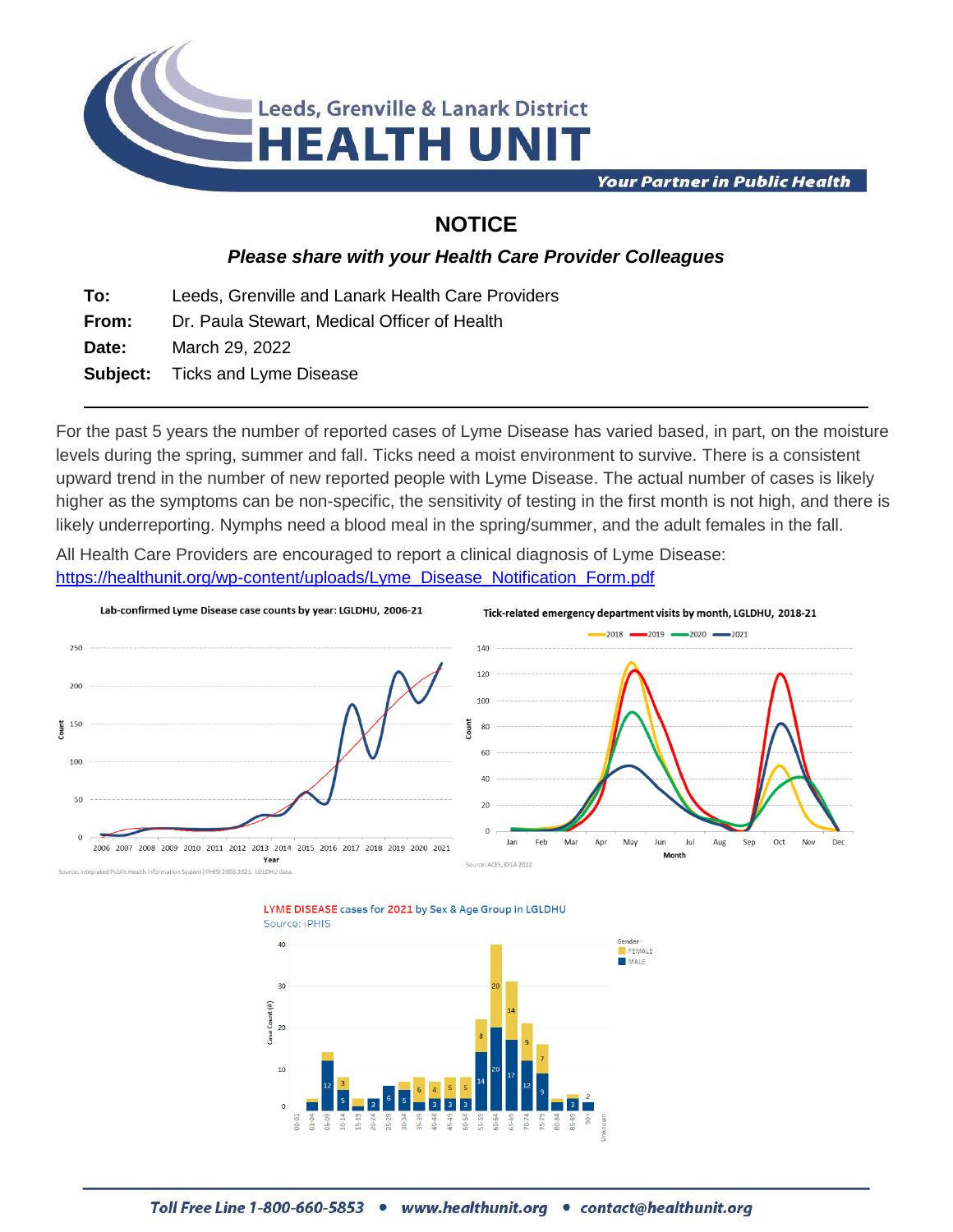

**Your Partner in Public Health** 

## **NOTICE**

## *Please share with your Health Care Provider Colleagues*

**To:** Leeds, Grenville and Lanark Health Care Providers

**From:** Dr. Paula Stewart, Medical Officer of Health

**Date:** March 29, 2022

**Subject:** Ticks and Lyme Disease

For the past 5 years the number of reported cases of Lyme Disease has varied based, in part, on the moisture levels during the spring, summer and fall. Ticks need a moist environment to survive. There is a consistent upward trend in the number of new reported people with Lyme Disease. The actual number of cases is likely higher as the symptoms can be non-specific, the sensitivity of testing in the first month is not high, and there is likely underreporting. Nymphs need a blood meal in the spring/summer, and the adult females in the fall.

All Health Care Providers are encouraged to report a clinical diagnosis of Lyme Disease: [https://healthunit.org/wp-content/uploads/Lyme\\_Disease\\_Notification\\_Form.pdf](https://healthunit.org/wp-content/uploads/Lyme_Disease_Notification_Form.pdf)